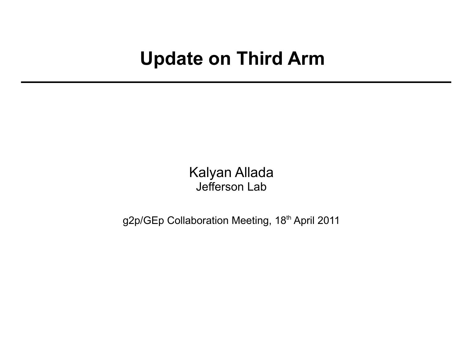## **Update on Third Arm**

Kalyan Allada Jefferson Lab

g2p/GEp Collaboration Meeting, 18<sup>th</sup> April 2011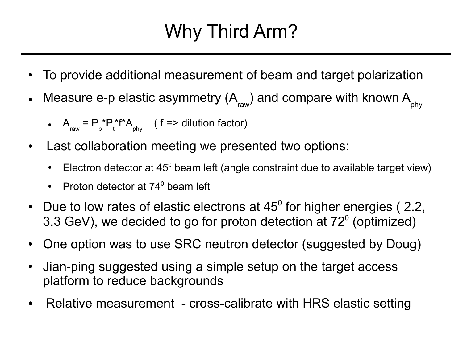## Why Third Arm?

- To provide additional measurement of beam and target polarization
- Measure e-p elastic asymmetry (A $_{_{\rm raw}}$ ) and compare with known A $_{_{\rm phy}}$ 
	- $A_{\text{raw}} = P_{\text{b}}^* P_{\text{t}}^* f^* A_{\text{phy}}$  (f => dilution factor)
- Last collaboration meeting we presented two options:
	- Electron detector at  $45^{\circ}$  beam left (angle constraint due to available target view)
	- Proton detector at  $74^{\circ}$  beam left
- Due to low rates of elastic electrons at  $45^{\circ}$  for higher energies (2.2, 3.3 GeV), we decided to go for proton detection at  $72^{\circ}$  (optimized)
- One option was to use SRC neutron detector (suggested by Doug)
- Jian-ping suggested using a simple setup on the target access platform to reduce backgrounds
- Relative measurement cross-calibrate with HRS elastic setting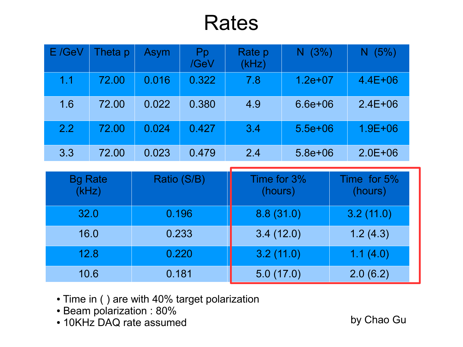## Rates

| E /GeV | Theta p | <b>Asym</b> | Pp<br>/GeV | Rate p<br>(kHz) | (3%)<br>N.  | (5%)<br>N.  |
|--------|---------|-------------|------------|-----------------|-------------|-------------|
| 1.1    | 72.00   | 0.016       | 0.322      | 7.8             | $1.2e+07$   | $4.4E + 06$ |
| 1.6    | 72.00   | 0.022       | 0.380      | 4.9             | $6.6e + 06$ | $2.4E + 06$ |
| 2.2    | 72.00   | 0.024       | 0.427      | 3.4             | $5.5e + 06$ | $1.9E + 06$ |
| 3.3    | 72.00   | 0.023       | 0.479      | 2.4             | $5.8e + 06$ | $2.0E + 06$ |

| <b>Bg Rate</b><br>(kHz) | Ratio (S/B) | Time for 3%<br>(hours) | Time for 5%<br>(hours) |
|-------------------------|-------------|------------------------|------------------------|
| 32.0                    | 0.196       | 8.8(31.0)              | 3.2(11.0)              |
| 16.0                    | 0.233       | 3.4(12.0)              | 1.2(4.3)               |
| 12.8                    | 0.220       | 3.2(11.0)              | 1.1(4.0)               |
| 10.6                    | 0.181       | 5.0(17.0)              | 2.0(6.2)               |

- Time in ( ) are with 40% target polarization
- Beam polarization : 80%
- 10KHz DAQ rate assumed by Chao Gu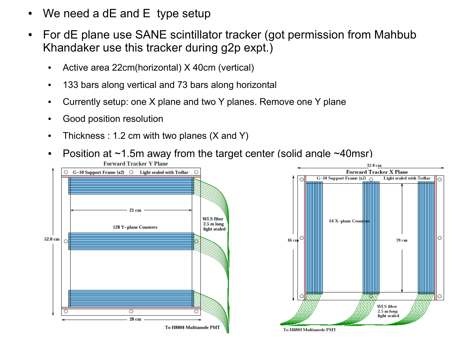- We need a dE and  $E$  type setup
- For dE plane use SANE scintillator tracker (got permission from Mahbub Khandaker use this tracker during g2p expt.)
	- Active area 22cm(horizontal) X 40cm (vertical)
	- 133 bars along vertical and 73 bars along horizontal
	- Currently setup: one X plane and two Y planes. Remove one Y plane
	- Good position resolution
	- Thickness : 1.2 cm with two planes  $(X \text{ and } Y)$
	- Position at  $\sim$ 1.5m away from the target center (solid angle  $\sim$ 40msr) **Forward Tracker Y Plane**